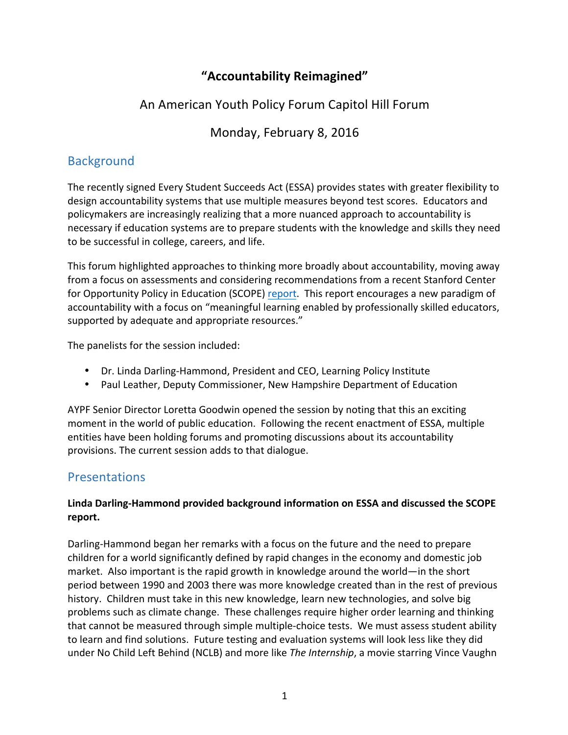# **"Accountability Reimagined"**

## An American Youth Policy Forum Capitol Hill Forum

# Monday, February 8, 2016

## **Background**

The recently signed Every Student Succeeds Act (ESSA) provides states with greater flexibility to design accountability systems that use multiple measures beyond test scores. Educators and policymakers are increasingly realizing that a more nuanced approach to accountability is necessary if education systems are to prepare students with the knowledge and skills they need to be successful in college, careers, and life.

This forum highlighted approaches to thinking more broadly about accountability, moving away from a focus on assessments and considering recommendations from a recent Stanford Center for Opportunity Policy in Education (SCOPE) report. This report encourages a new paradigm of accountability with a focus on "meaningful learning enabled by professionally skilled educators, supported by adequate and appropriate resources."

The panelists for the session included:

- Dr. Linda Darling-Hammond, President and CEO, Learning Policy Institute
- Paul Leather, Deputy Commissioner, New Hampshire Department of Education

AYPF Senior Director Loretta Goodwin opened the session by noting that this an exciting moment in the world of public education. Following the recent enactment of ESSA, multiple entities have been holding forums and promoting discussions about its accountability provisions. The current session adds to that dialogue.

### Presentations

### **Linda Darling-Hammond provided background information on ESSA and discussed the SCOPE report.**

Darling-Hammond began her remarks with a focus on the future and the need to prepare children for a world significantly defined by rapid changes in the economy and domestic job market. Also important is the rapid growth in knowledge around the world—in the short period between 1990 and 2003 there was more knowledge created than in the rest of previous history. Children must take in this new knowledge, learn new technologies, and solve big problems such as climate change. These challenges require higher order learning and thinking that cannot be measured through simple multiple-choice tests. We must assess student ability to learn and find solutions. Future testing and evaluation systems will look less like they did under No Child Left Behind (NCLB) and more like *The Internship*, a movie starring Vince Vaughn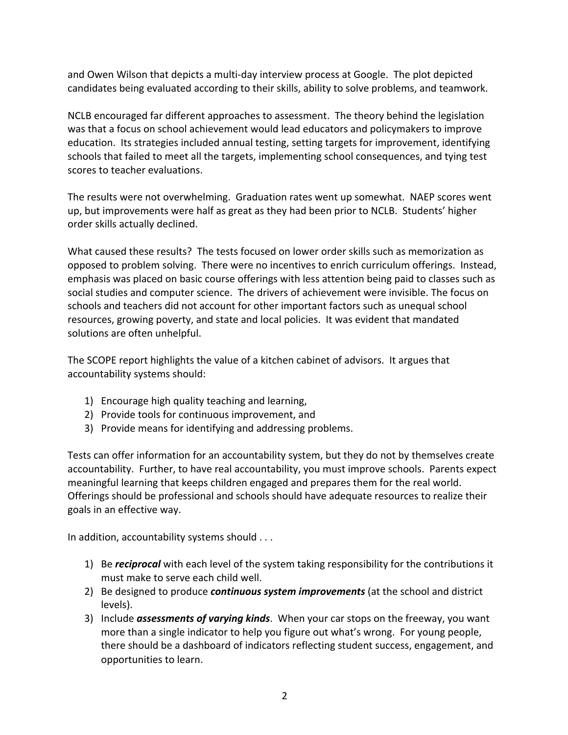and Owen Wilson that depicts a multi-day interview process at Google. The plot depicted candidates being evaluated according to their skills, ability to solve problems, and teamwork.

NCLB encouraged far different approaches to assessment. The theory behind the legislation was that a focus on school achievement would lead educators and policymakers to improve education. Its strategies included annual testing, setting targets for improvement, identifying schools that failed to meet all the targets, implementing school consequences, and tying test scores to teacher evaluations.

The results were not overwhelming. Graduation rates went up somewhat. NAEP scores went up, but improvements were half as great as they had been prior to NCLB. Students' higher order skills actually declined.

What caused these results? The tests focused on lower order skills such as memorization as opposed to problem solving. There were no incentives to enrich curriculum offerings. Instead, emphasis was placed on basic course offerings with less attention being paid to classes such as social studies and computer science. The drivers of achievement were invisible. The focus on schools and teachers did not account for other important factors such as unequal school resources, growing poverty, and state and local policies. It was evident that mandated solutions are often unhelpful.

The SCOPE report highlights the value of a kitchen cabinet of advisors. It argues that accountability systems should:

- 1) Encourage high quality teaching and learning,
- 2) Provide tools for continuous improvement, and
- 3) Provide means for identifying and addressing problems.

Tests can offer information for an accountability system, but they do not by themselves create accountability. Further, to have real accountability, you must improve schools. Parents expect meaningful learning that keeps children engaged and prepares them for the real world. Offerings should be professional and schools should have adequate resources to realize their goals in an effective way.

In addition, accountability systems should  $\dots$ 

- 1) Be *reciprocal* with each level of the system taking responsibility for the contributions it must make to serve each child well.
- 2) Be designed to produce **continuous system improvements** (at the school and district levels).
- 3) Include *assessments of varying kinds*. When your car stops on the freeway, you want more than a single indicator to help you figure out what's wrong. For young people, there should be a dashboard of indicators reflecting student success, engagement, and opportunities to learn.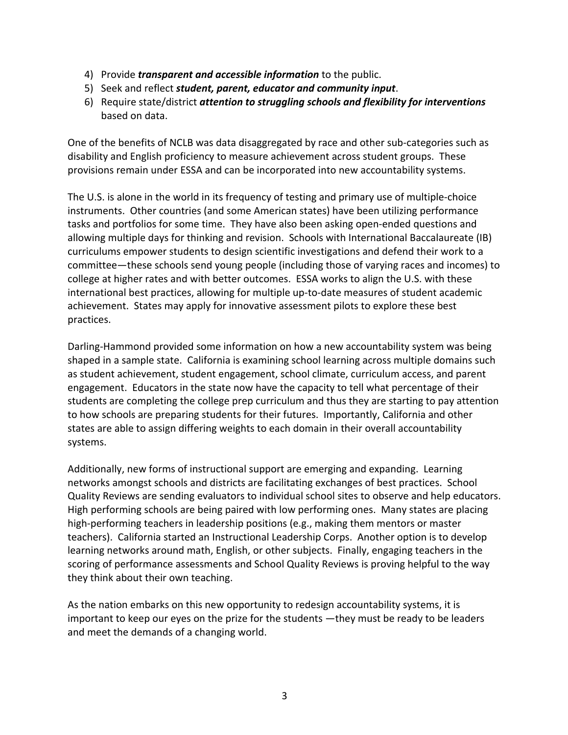- 4) Provide *transparent and accessible information* to the public.
- 5) Seek and reflect student, parent, educator and community input.
- 6) Require state/district *attention to struggling schools and flexibility for interventions* based on data.

One of the benefits of NCLB was data disaggregated by race and other sub-categories such as disability and English proficiency to measure achievement across student groups. These provisions remain under ESSA and can be incorporated into new accountability systems.

The U.S. is alone in the world in its frequency of testing and primary use of multiple-choice instruments. Other countries (and some American states) have been utilizing performance tasks and portfolios for some time. They have also been asking open-ended questions and allowing multiple days for thinking and revision. Schools with International Baccalaureate (IB) curriculums empower students to design scientific investigations and defend their work to a committee—these schools send young people (including those of varying races and incomes) to college at higher rates and with better outcomes. ESSA works to align the U.S. with these international best practices, allowing for multiple up-to-date measures of student academic achievement. States may apply for innovative assessment pilots to explore these best practices. 

Darling-Hammond provided some information on how a new accountability system was being shaped in a sample state. California is examining school learning across multiple domains such as student achievement, student engagement, school climate, curriculum access, and parent engagement. Educators in the state now have the capacity to tell what percentage of their students are completing the college prep curriculum and thus they are starting to pay attention to how schools are preparing students for their futures. Importantly, California and other states are able to assign differing weights to each domain in their overall accountability systems. 

Additionally, new forms of instructional support are emerging and expanding. Learning networks amongst schools and districts are facilitating exchanges of best practices. School Quality Reviews are sending evaluators to individual school sites to observe and help educators. High performing schools are being paired with low performing ones. Many states are placing high-performing teachers in leadership positions (e.g., making them mentors or master teachers). California started an Instructional Leadership Corps. Another option is to develop learning networks around math, English, or other subjects. Finally, engaging teachers in the scoring of performance assessments and School Quality Reviews is proving helpful to the way they think about their own teaching.

As the nation embarks on this new opportunity to redesign accountability systems, it is important to keep our eyes on the prize for the students —they must be ready to be leaders and meet the demands of a changing world.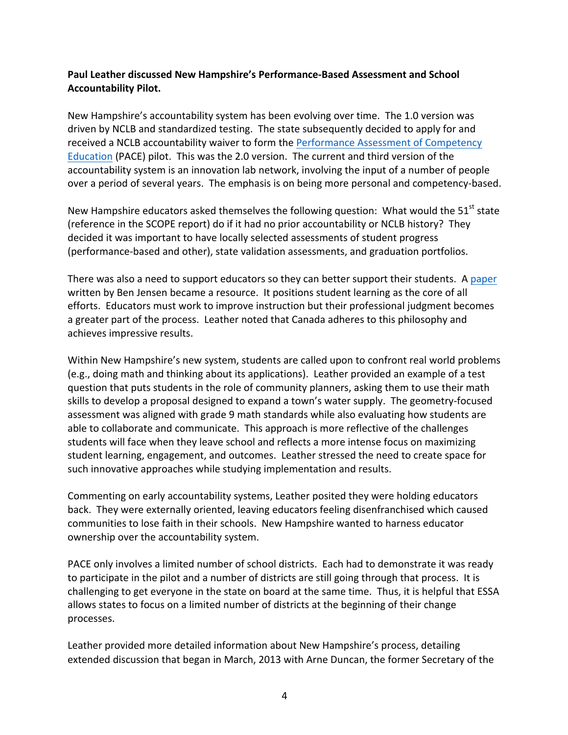#### **Paul Leather discussed New Hampshire's Performance-Based Assessment and School Accountability Pilot.**

New Hampshire's accountability system has been evolving over time. The 1.0 version was driven by NCLB and standardized testing. The state subsequently decided to apply for and received a NCLB accountability waiver to form the Performance Assessment of Competency Education (PACE) pilot. This was the 2.0 version. The current and third version of the accountability system is an innovation lab network, involving the input of a number of people over a period of several years. The emphasis is on being more personal and competency-based.

New Hampshire educators asked themselves the following question: What would the  $51<sup>st</sup>$  state (reference in the SCOPE report) do if it had no prior accountability or NCLB history? They decided it was important to have locally selected assessments of student progress (performance-based and other), state validation assessments, and graduation portfolios.

There was also a need to support educators so they can better support their students. A paper written by Ben Jensen became a resource. It positions student learning as the core of all efforts. Educators must work to improve instruction but their professional judgment becomes a greater part of the process. Leather noted that Canada adheres to this philosophy and achieves impressive results.

Within New Hampshire's new system, students are called upon to confront real world problems (e.g., doing math and thinking about its applications). Leather provided an example of a test question that puts students in the role of community planners, asking them to use their math skills to develop a proposal designed to expand a town's water supply. The geometry-focused assessment was aligned with grade 9 math standards while also evaluating how students are able to collaborate and communicate. This approach is more reflective of the challenges students will face when they leave school and reflects a more intense focus on maximizing student learning, engagement, and outcomes. Leather stressed the need to create space for such innovative approaches while studying implementation and results.

Commenting on early accountability systems, Leather posited they were holding educators back. They were externally oriented, leaving educators feeling disenfranchised which caused communities to lose faith in their schools. New Hampshire wanted to harness educator ownership over the accountability system.

PACE only involves a limited number of school districts. Each had to demonstrate it was ready to participate in the pilot and a number of districts are still going through that process. It is challenging to get everyone in the state on board at the same time. Thus, it is helpful that ESSA allows states to focus on a limited number of districts at the beginning of their change processes. 

Leather provided more detailed information about New Hampshire's process, detailing extended discussion that began in March, 2013 with Arne Duncan, the former Secretary of the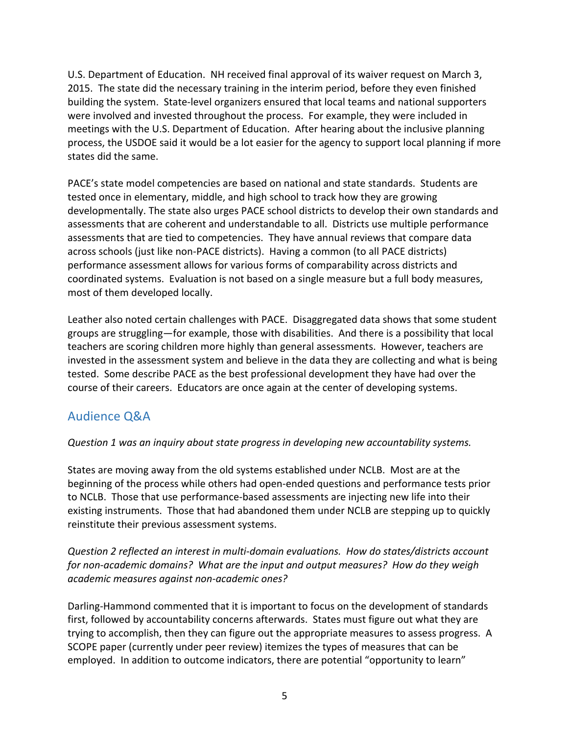U.S. Department of Education. NH received final approval of its waiver request on March 3, 2015. The state did the necessary training in the interim period, before they even finished building the system. State-level organizers ensured that local teams and national supporters were involved and invested throughout the process. For example, they were included in meetings with the U.S. Department of Education. After hearing about the inclusive planning process, the USDOE said it would be a lot easier for the agency to support local planning if more states did the same.

PACE's state model competencies are based on national and state standards. Students are tested once in elementary, middle, and high school to track how they are growing developmentally. The state also urges PACE school districts to develop their own standards and assessments that are coherent and understandable to all. Districts use multiple performance assessments that are tied to competencies. They have annual reviews that compare data across schools (just like non-PACE districts). Having a common (to all PACE districts) performance assessment allows for various forms of comparability across districts and coordinated systems. Evaluation is not based on a single measure but a full body measures, most of them developed locally.

Leather also noted certain challenges with PACE. Disaggregated data shows that some student groups are struggling—for example, those with disabilities. And there is a possibility that local teachers are scoring children more highly than general assessments. However, teachers are invested in the assessment system and believe in the data they are collecting and what is being tested. Some describe PACE as the best professional development they have had over the course of their careers. Educators are once again at the center of developing systems.

### Audience O&A

#### *Question 1 was an inquiry about state progress in developing new accountability systems.*

States are moving away from the old systems established under NCLB. Most are at the beginning of the process while others had open-ended questions and performance tests prior to NCLB. Those that use performance-based assessments are injecting new life into their existing instruments. Those that had abandoned them under NCLB are stepping up to quickly reinstitute their previous assessment systems.

*Question 2 reflected an interest in multi-domain evaluations. How do states/districts account for non-academic domains?* What are the *input and output measures?* How do they weigh *academic measures against non-academic ones?*

Darling-Hammond commented that it is important to focus on the development of standards first, followed by accountability concerns afterwards. States must figure out what they are trying to accomplish, then they can figure out the appropriate measures to assess progress. A SCOPE paper (currently under peer review) itemizes the types of measures that can be employed. In addition to outcome indicators, there are potential "opportunity to learn"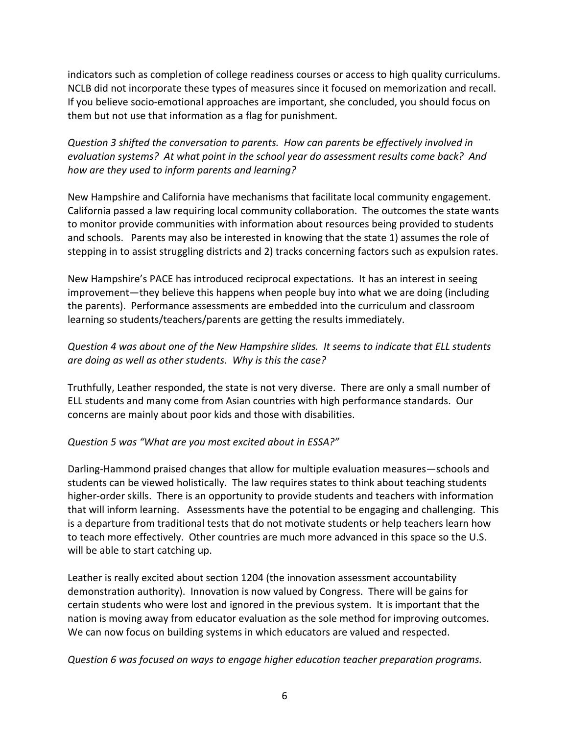indicators such as completion of college readiness courses or access to high quality curriculums. NCLB did not incorporate these types of measures since it focused on memorization and recall. If you believe socio-emotional approaches are important, she concluded, you should focus on them but not use that information as a flag for punishment.

**Question 3** shifted the conversation to parents. How can parents be effectively involved in *evaluation systems?* At what point in the school year do assessment results come back? And *how are they used to inform parents and learning?* 

New Hampshire and California have mechanisms that facilitate local community engagement. California passed a law requiring local community collaboration. The outcomes the state wants to monitor provide communities with information about resources being provided to students and schools. Parents may also be interested in knowing that the state 1) assumes the role of stepping in to assist struggling districts and 2) tracks concerning factors such as expulsion rates.

New Hampshire's PACE has introduced reciprocal expectations. It has an interest in seeing improvement—they believe this happens when people buy into what we are doing (including the parents). Performance assessments are embedded into the curriculum and classroom learning so students/teachers/parents are getting the results immediately.

### *Question 4 was about one of the New Hampshire slides. It seems to indicate that ELL students are doing as well as other students. Why is this the case?*

Truthfully, Leather responded, the state is not very diverse. There are only a small number of ELL students and many come from Asian countries with high performance standards. Our concerns are mainly about poor kids and those with disabilities.

#### *Question 5 was "What are you most excited about in ESSA?"*

Darling-Hammond praised changes that allow for multiple evaluation measures-schools and students can be viewed holistically. The law requires states to think about teaching students higher-order skills. There is an opportunity to provide students and teachers with information that will inform learning. Assessments have the potential to be engaging and challenging. This is a departure from traditional tests that do not motivate students or help teachers learn how to teach more effectively. Other countries are much more advanced in this space so the U.S. will be able to start catching up.

Leather is really excited about section 1204 (the innovation assessment accountability demonstration authority). Innovation is now valued by Congress. There will be gains for certain students who were lost and ignored in the previous system. It is important that the nation is moving away from educator evaluation as the sole method for improving outcomes. We can now focus on building systems in which educators are valued and respected.

*Question 6 was focused on ways to engage higher education teacher preparation programs.*